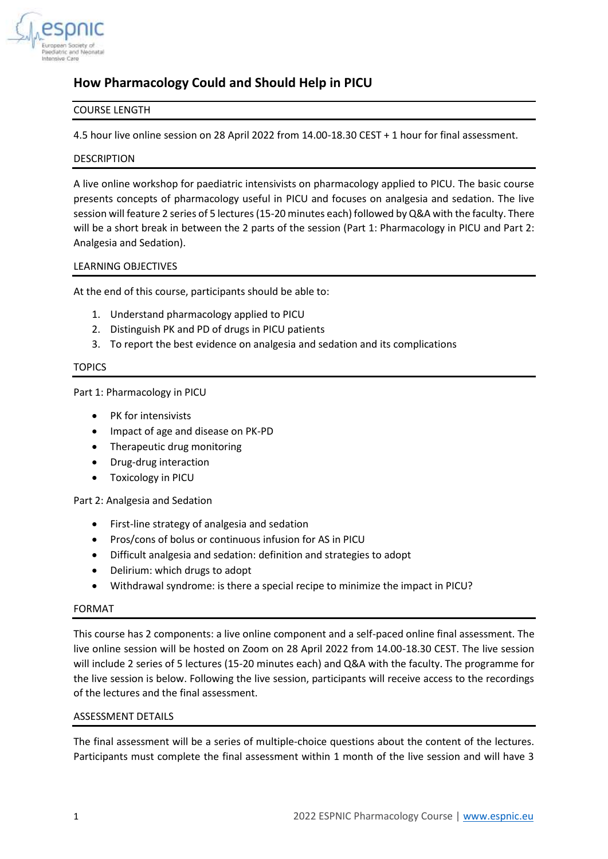

# **How Pharmacology Could and Should Help in PICU**

# COURSE LENGTH

4.5 hour live online session on 28 April 2022 from 14.00-18.30 CEST + 1 hour for final assessment.

# DESCRIPTION

A live online workshop for paediatric intensivists on pharmacology applied to PICU. The basic course presents concepts of pharmacology useful in PICU and focuses on analgesia and sedation. The live session will feature 2 series of 5 lectures (15-20 minutes each) followed by Q&A with the faculty. There will be a short break in between the 2 parts of the session (Part 1: Pharmacology in PICU and Part 2: Analgesia and Sedation).

# LEARNING OBJECTIVES

At the end of this course, participants should be able to:

- 1. Understand pharmacology applied to PICU
- 2. Distinguish PK and PD of drugs in PICU patients
- 3. To report the best evidence on analgesia and sedation and its complications

## **TOPICS**

Part 1: Pharmacology in PICU

- PK for intensivists
- Impact of age and disease on PK-PD
- Therapeutic drug monitoring
- Drug-drug interaction
- Toxicology in PICU

Part 2: Analgesia and Sedation

- First-line strategy of analgesia and sedation
- Pros/cons of bolus or continuous infusion for AS in PICU
- Difficult analgesia and sedation: definition and strategies to adopt
- Delirium: which drugs to adopt
- Withdrawal syndrome: is there a special recipe to minimize the impact in PICU?

## FORMAT

This course has 2 components: a live online component and a self-paced online final assessment. The live online session will be hosted on Zoom on 28 April 2022 from 14.00-18.30 CEST. The live session will include 2 series of 5 lectures (15-20 minutes each) and Q&A with the faculty. The programme for the live session is below. Following the live session, participants will receive access to the recordings of the lectures and the final assessment.

## ASSESSMENT DETAILS

The final assessment will be a series of multiple-choice questions about the content of the lectures. Participants must complete the final assessment within 1 month of the live session and will have 3